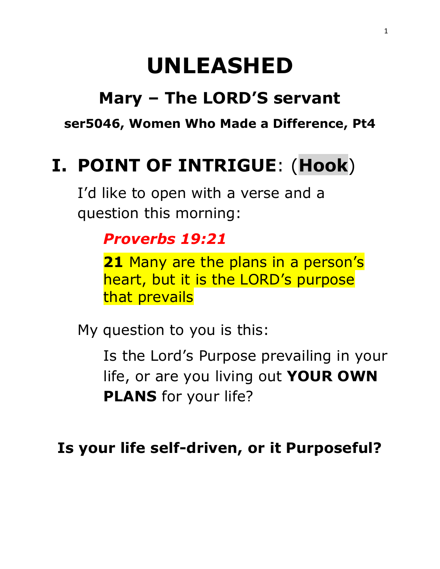# **UNLEASHED**

# **Mary – The LORD'S servant**

**ser5046, Women Who Made a Difference, Pt4** 

# **I. POINT OF INTRIGUE**: (**Hook**)

I'd like to open with a verse and a question this morning[:](https://www.biblestudytools.com/proverbs/19-21.html)

### *[Proverbs 19:21](https://www.biblestudytools.com/proverbs/19-21.html)*

**21** Many are the plans in a person's heart, but it is the LORD's purpose that prevails

My question to you is this:

Is the Lord's Purpose prevailing in your life, or are you living out **YOUR OWN PLANS** for your life?

**Is your life self-driven, or it Purposeful?**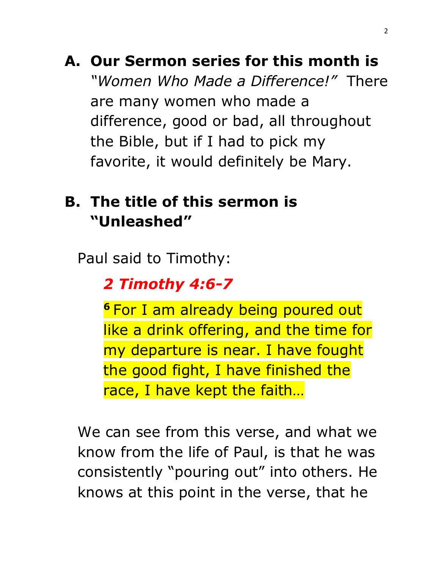**A. Our Sermon series for this month is**  *"Women Who Made a Difference!"* There are many women who made a difference, good or bad, all throughout the Bible, but if I had to pick my favorite, it would definitely be Mary.

## **B. The title of this sermon is "Unleashed"**

Paul said to Timothy:

*2 Timothy 4:6-7*

**<sup>6</sup>** For I am already being poured out like a drink offering, and the time for my departure is near. I have fought the good fight, I have finished the race, I have kept the faith…

We can see from this verse, and what we know from the life of Paul, is that he was consistently "pouring out" into others. He knows at this point in the verse, that he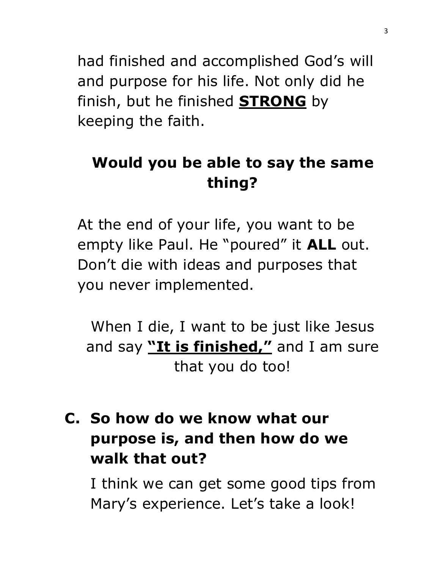had finished and accomplished God's will and purpose for his life. Not only did he finish, but he finished **STRONG** by keeping the faith.

# **Would you be able to say the same thing?**

At the end of your life, you want to be empty like Paul. He "poured" it **ALL** out. Don't die with ideas and purposes that you never implemented.

When I die, I want to be just like Jesus and say **"It is finished,"** and I am sure that you do too!

# **C. So how do we know what our purpose is, and then how do we walk that out?**

I think we can get some good tips from Mary's experience. Let's take a look!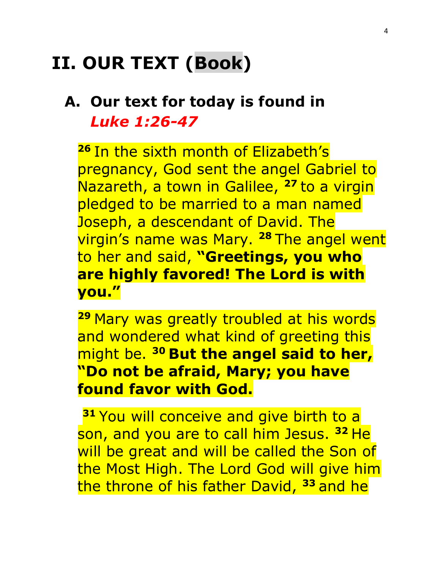# **II. OUR TEXT (Book)**

### **A. Our text for today is found in**  *Luke 1:26-47*

**26** In the sixth month of Elizabeth's pregnancy, God sent the angel Gabriel to Nazareth, a town in Galilee, **<sup>27</sup>** to a virgin pledged to be married to a man named Joseph, a descendant of David. The virgin's name was Mary. **<sup>28</sup>** The angel went to her and said, **"Greetings, you who are highly favored! The Lord is with you."**

**<sup>29</sup>** Mary was greatly troubled at his words and wondered what kind of greeting this might be. **<sup>30</sup> But the angel said to her, "Do not be afraid, Mary; you have found favor with God.**

**31 You will conceive and give birth to a** son, and you are to call him Jesus. **<sup>32</sup>** He will be great and will be called the Son of the Most High. The Lord God will give him the throne of his father David, **<sup>33</sup>** and he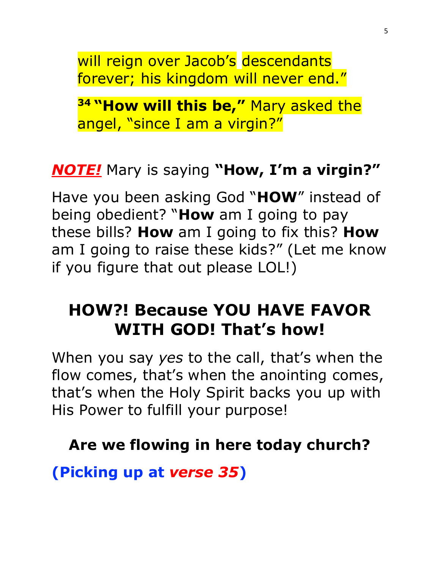will reign over Jacob's descendants forever; his kingdom will never end."

**<sup>34</sup> "How will this be,"** Mary asked the angel, "since I am a virgin?"

### *NOTE!* Mary is saying **"How, I'm a virgin?"**

Have you been asking God "**HOW**" instead of being obedient? "**How** am I going to pay these bills? **How** am I going to fix this? **How** am I going to raise these kids?" (Let me know if you figure that out please LOL!)

## **HOW?! Because YOU HAVE FAVOR WITH GOD! That's how!**

When you say *yes* to the call, that's when the flow comes, that's when the anointing comes, that's when the Holy Spirit backs you up with His Power to fulfill your purpose!

#### **Are we flowing in here today church?**

**(Picking up at** *verse 35***)**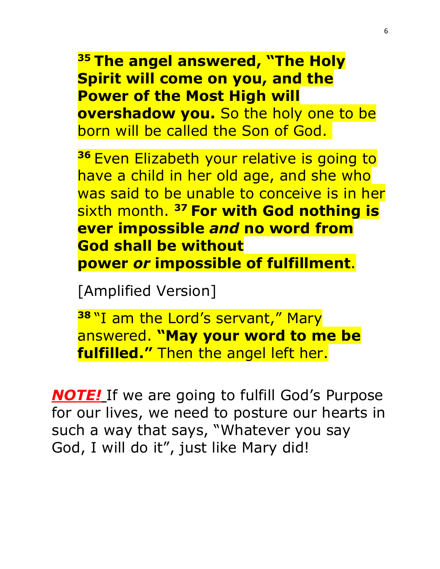**<sup>35</sup> The angel answered, "The Holy Spirit will come on you, and the Power of the Most High will overshadow you.** So the holy one to be born will be called the Son of God.

**<sup>36</sup>** Even Elizabeth your relative is going to have a child in her old age, and she who was said to be unable to conceive is in her sixth month. **<sup>37</sup> For with God nothing is ever impossible** *and* **no word from God shall be without power** *or* **impossible of fulfillment**.

[Amplified Version]

**38** "I am the Lord's servant," Mary answered. **"May your word to me be fulfilled."** Then the angel left her.

*NOTE!* If we are going to fulfill God's Purpose for our lives, we need to posture our hearts in such a way that says, "Whatever you say God, I will do it", just like Mary did!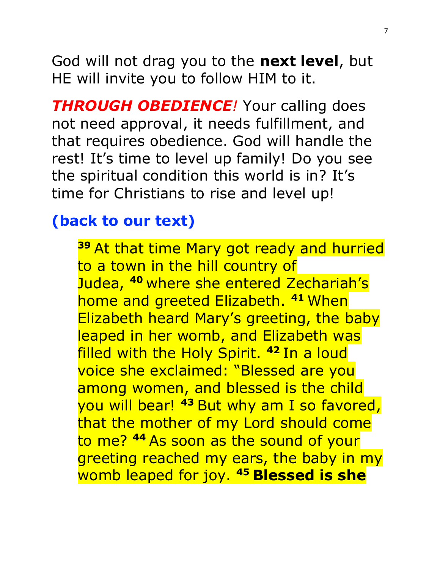God will not drag you to the **next level**, but HE will invite you to follow HIM to it.

*THROUGH OBEDIENCE!* Your calling does not need approval, it needs fulfillment, and that requires obedience. God will handle the rest! It's time to level up family! Do you see the spiritual condition this world is in? It's time for Christians to rise and level up!

#### **(back to our text)**

**<sup>39</sup>** At that time Mary got ready and hurried to a town in the hill country of Judea, **<sup>40</sup>** where she entered Zechariah's home and greeted Elizabeth. **<sup>41</sup>** When Elizabeth heard Mary's greeting, the baby leaped in her womb, and Elizabeth was filled with the Holy Spirit. **<sup>42</sup>** In a loud voice she exclaimed: "Blessed are you among women, and blessed is the child you will bear! **<sup>43</sup>** But why am I so favored, that the mother of my Lord should come to me? **<sup>44</sup>** As soon as the sound of your greeting reached my ears, the baby in my womb leaped for joy. **<sup>45</sup> Blessed is she**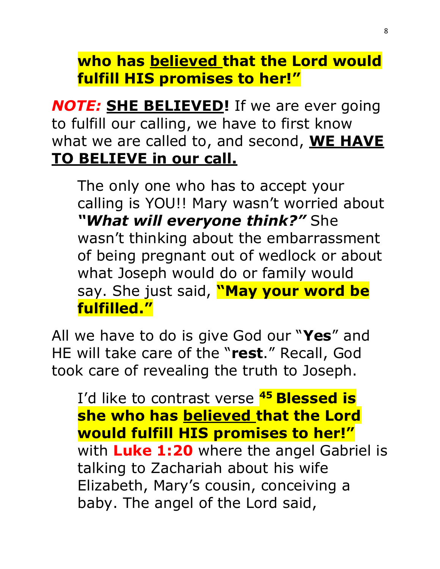**who has believed that the Lord would fulfill HIS promises to her!"**

*NOTE:* **SHE BELIEVED!** If we are ever going to fulfill our calling, we have to first know what we are called to, and second, **WE HAVE TO BELIEVE in our call.**

The only one who has to accept your calling is YOU!! Mary wasn't worried about *"What will everyone think?"* She wasn't thinking about the embarrassment of being pregnant out of wedlock or about what Joseph would do or family would say. She just said, **"May your word be fulfilled."**

All we have to do is give God our "**Yes**" and HE will take care of the "**rest**." Recall, God took care of revealing the truth to Joseph.

I'd like to contrast verse **<sup>45</sup> Blessed is she who has believed that the Lord would fulfill HIS promises to her!"** with **Luke 1:20** where the angel Gabriel is talking to Zachariah about his wife Elizabeth, Mary's cousin, conceiving a baby. The angel of the Lord said,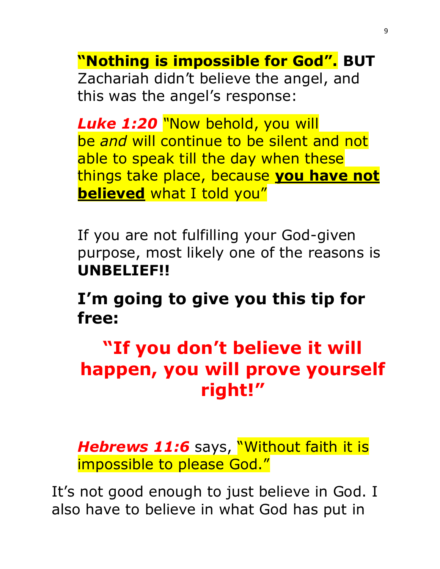**"Nothing is impossible for God". BUT**

Zachariah didn't believe the angel, and this was the angel's response:

*Luke 1:20 "*Now behold, you will be *and* will continue to be silent and not able to speak till the day when these things take place, because **you have not believed** what I told you"

If you are not fulfilling your God-given purpose, most likely one of the reasons is **UNBELIEF!!**

**I'm going to give you this tip for free:**

# **"If you don't believe it will happen, you will prove yourself right!"**

**Hebrews 11:6** says, "Without faith it is impossible to please God."

It's not good enough to just believe in God. I also have to believe in what God has put in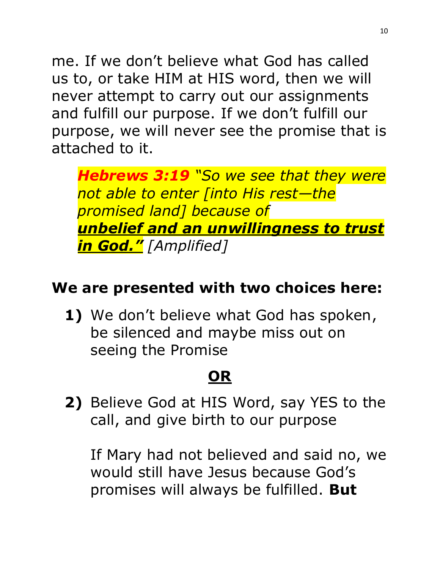me. If we don't believe what God has called us to, or take HIM at HIS word, then we will never attempt to carry out our assignments and fulfill our purpose. If we don't fulfill our purpose, we will never see the promise that is attached to it.

*Hebrews 3:19 "So we see that they were not able to enter [into His rest—the promised land] because of unbelief and an unwillingness to trust in God." [Amplified]*

### **We are presented with two choices here:**

**1)** We don't believe what God has spoken, be silenced and maybe miss out on seeing the Promise

# **OR**

**2)** Believe God at HIS Word, say YES to the call, and give birth to our purpose

If Mary had not believed and said no, we would still have Jesus because God's promises will always be fulfilled. **But**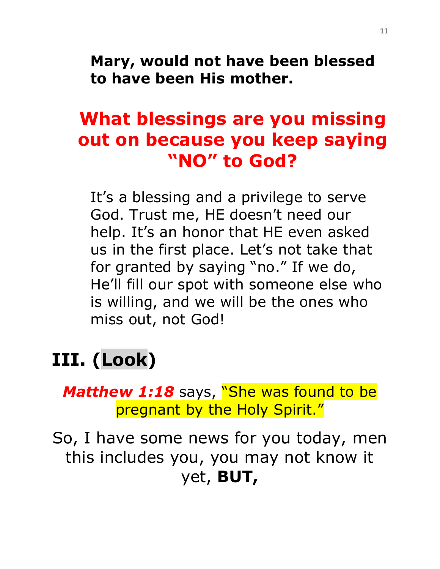**Mary, would not have been blessed to have been His mother.**

# **What blessings are you missing out on because you keep saying "NO" to God?**

It's a blessing and a privilege to serve God. Trust me, HE doesn't need our help. It's an honor that HE even asked us in the first place. Let's not take that for granted by saying "no." If we do, He'll fill our spot with someone else who is willing, and we will be the ones who miss out, not God!

# **III. (Look)**

**Matthew 1:18** says, "She was found to be pregnant by the Holy Spirit."

So, I have some news for you today, men this includes you, you may not know it yet, **BUT,**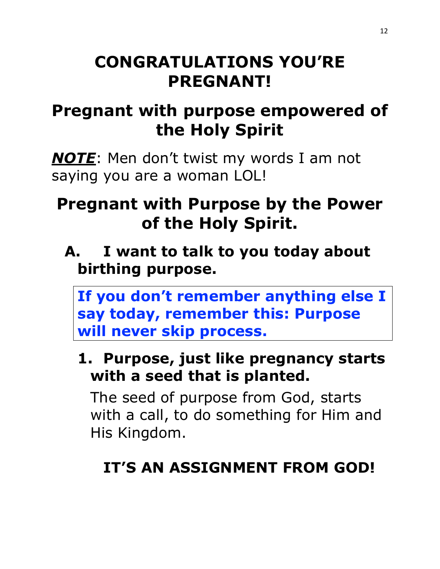# **CONGRATULATIONS YOU'RE PREGNANT!**

# **Pregnant with purpose empowered of the Holy Spirit**

*NOTE*: Men don't twist my words I am not saying you are a woman LOL!

# **Pregnant with Purpose by the Power of the Holy Spirit.**

**A. I want to talk to you today about birthing purpose.** 

**If you don't remember anything else I say today, remember this: Purpose will never skip process.** 

### **1. Purpose, just like pregnancy starts with a seed that is planted.**

The seed of purpose from God, starts with a call, to do something for Him and His Kingdom.

# **IT'S AN ASSIGNMENT FROM GOD!**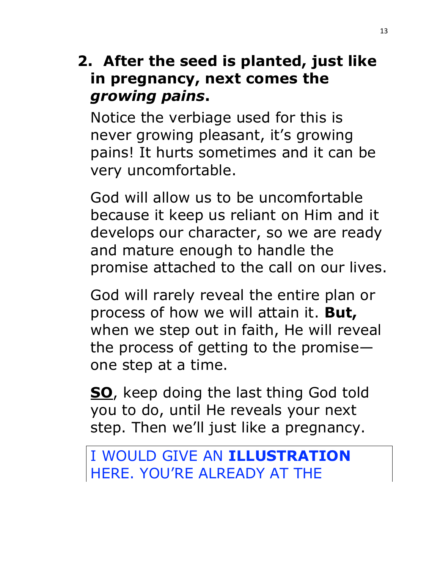### **2. After the seed is planted, just like in pregnancy, next comes the**  *growing pains***.**

Notice the verbiage used for this is never growing pleasant, it's growing pains! It hurts sometimes and it can be very uncomfortable.

God will allow us to be uncomfortable because it keep us reliant on Him and it develops our character, so we are ready and mature enough to handle the promise attached to the call on our lives.

God will rarely reveal the entire plan or process of how we will attain it. **But,** when we step out in faith, He will reveal the process of getting to the promise one step at a time.

**SO**, keep doing the last thing God told you to do, until He reveals your next step. Then we'll just like a pregnancy.

I WOULD GIVE AN **ILLUSTRATION** HERE. YOU'RE ALREADY AT THE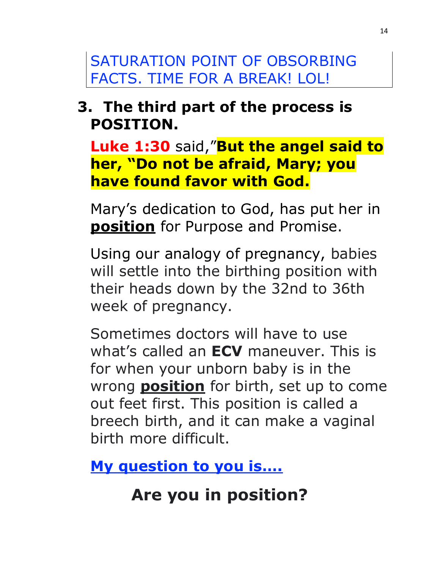SATURATION POINT OF OBSORBING FACTS. TIME FOR A BREAK! LOL!

### **3. The third part of the process is POSITION.**

**Luke 1:30** said,"**But the angel said to her, "Do not be afraid, Mary; you have found favor with God.**

Mary's dedication to God, has put her in **position** for Purpose and Promise.

Using our analogy of pregnancy, babies will settle into the birthing position with their heads down by the 32nd to 36th week of pregnancy.

Sometimes doctors will have to use what's called an **ECV** maneuver. This is for when your unborn baby is in the wrong **position** for birth, set up to come out feet first. This position is called a breech birth, and it can make a vaginal birth more difficult.

**My question to you is….** 

# **Are you in position?**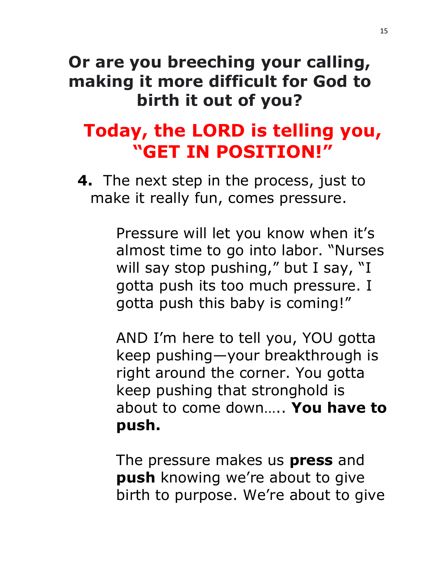# **Or are you breeching your calling, making it more difficult for God to birth it out of you?**

# **Today, the LORD is telling you, "GET IN POSITION!"**

**4.** The next step in the process, just to make it really fun, comes pressure.

> Pressure will let you know when it's almost time to go into labor. "Nurses will say stop pushing," but I say, "I gotta push its too much pressure. I gotta push this baby is coming!"

> AND I'm here to tell you, YOU gotta keep pushing—your breakthrough is right around the corner. You gotta keep pushing that stronghold is about to come down….. **You have to push.**

> The pressure makes us **press** and **push** knowing we're about to give birth to purpose. We're about to give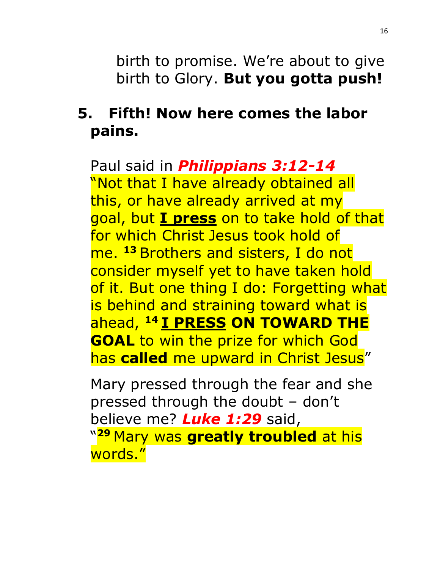birth to promise. We're about to give birth to Glory. **But you gotta push!**

### **5. Fifth! Now here comes the labor pains.**

Paul said in *Philippians 3:12-14* "Not that I have already obtained all this, or have already arrived at my goal, but **I press** on to take hold of that for which Christ Jesus took hold of me. **<sup>13</sup>** Brothers and sisters, I do not consider myself yet to have taken hold of it. But one thing I do: Forgetting what is behind and straining toward what is ahead, **<sup>14</sup> I PRESS ON TOWARD THE GOAL** to win the prize for which God has **called** me upward in Christ Jesus"

Mary pressed through the fear and she pressed through the doubt – don't believe me? *Luke 1:29* said, " **<sup>29</sup>** Mary was **greatly troubled** at his words."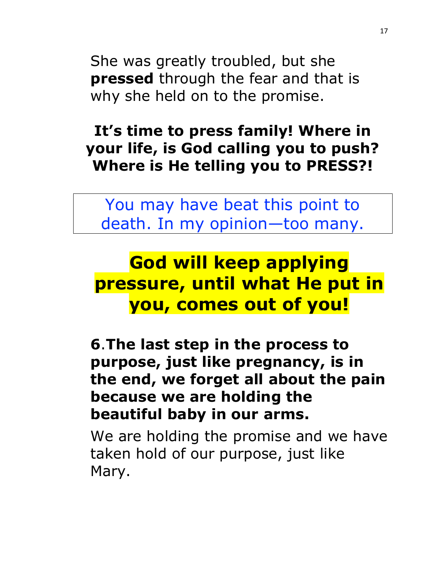She was greatly troubled, but she **pressed** through the fear and that is why she held on to the promise.

**It's time to press family! Where in your life, is God calling you to push? Where is He telling you to PRESS?!** 

You may have beat this point to death. In my opinion—too many.

# **God will keep applying pressure, until what He put in you, comes out of you!**

**6**.**The last step in the process to purpose, just like pregnancy, is in the end, we forget all about the pain because we are holding the beautiful baby in our arms.**

We are holding the promise and we have taken hold of our purpose, just like Mary.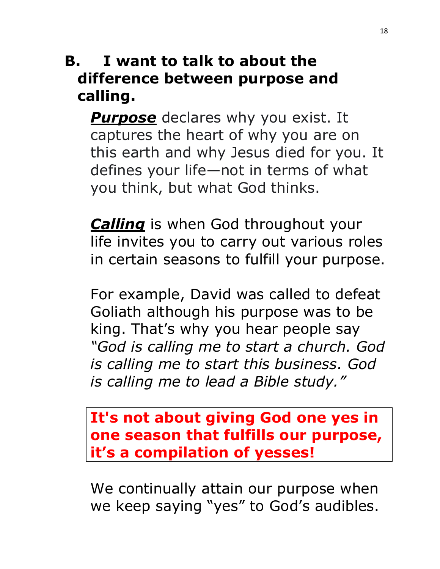### **B. I want to talk to about the difference between purpose and calling.**

**Purpose** declares why you exist. It captures the heart of why you are on this earth and why Jesus died for you. It defines your life—not in terms of what you think, but what God thinks.

**Calling** is when God throughout your life invites you to carry out various roles in certain seasons to fulfill your purpose.

For example, David was called to defeat Goliath although his purpose was to be king. That's why you hear people say *"God is calling me to start a church. God is calling me to start this business. God is calling me to lead a Bible study."*

**It's not about giving God one yes in one season that fulfills our purpose, it's a compilation of yesses!**

We continually attain our purpose when we keep saying "yes" to God's audibles.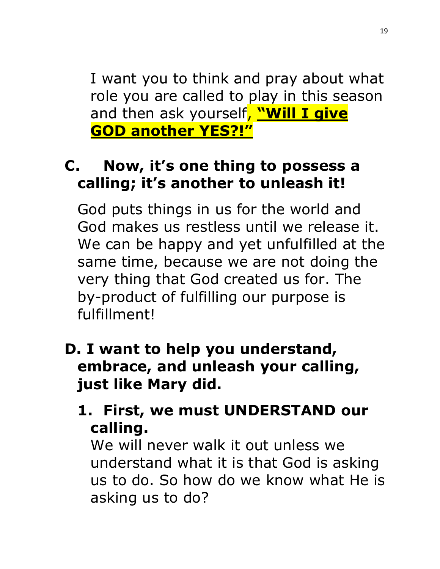I want you to think and pray about what role you are called to play in this season and then ask yourself, **"Will I give GOD another YES?!"**

## **C. Now, it's one thing to possess a calling; it's another to unleash it!**

God puts things in us for the world and God makes us restless until we release it. We can be happy and yet unfulfilled at the same time, because we are not doing the very thing that God created us for. The by-product of fulfilling our purpose is fulfillment!

- **D. I want to help you understand, embrace, and unleash your calling, just like Mary did.**
	- **1. First, we must UNDERSTAND our calling.**

We will never walk it out unless we understand what it is that God is asking us to do. So how do we know what He is asking us to do?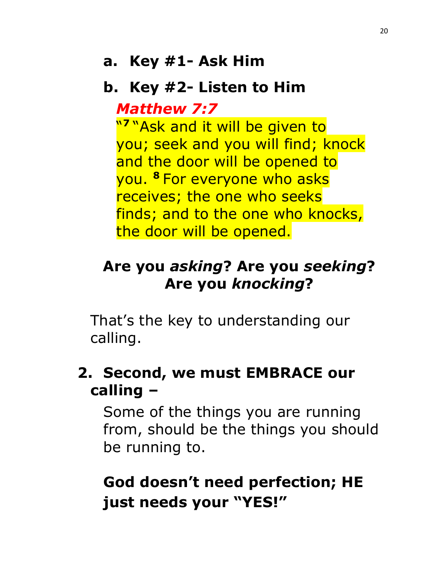#### **a. Key #1- Ask Him**

#### **b. Key #2- Listen to Him**

#### *Matthew 7:7*

" **7** "Ask and it will be given to you; seek and you will find; knock and the door will be opened to you. **<sup>8</sup>** For everyone who asks receives; the one who seeks finds; and to the one who knocks, the door will be opened.

### **Are you** *asking***? Are you** *seeking***? Are you** *knocking***?**

That's the key to understanding our calling.

### **2. Second, we must EMBRACE our calling –**

Some of the things you are running from, should be the things you should be running to.

# **God doesn't need perfection; HE just needs your "YES!"**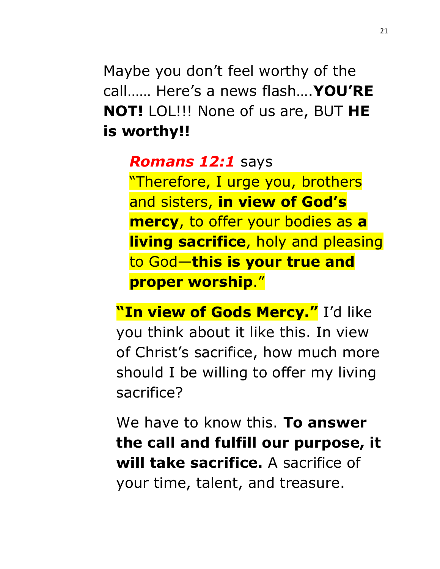Maybe you don't feel worthy of the call…… Here's a news flash….**YOU'RE NOT!** LOL!!! None of us are, BUT **HE is worthy!!**

#### *Romans 12:1* says

"Therefore, I urge you, brothers and sisters, **in view of God's mercy**, to offer your bodies as **a living sacrifice**, holy and pleasing to God—**this is your true and proper worship**."

**"In view of Gods Mercy."** I'd like you think about it like this. In view of Christ's sacrifice, how much more should I be willing to offer my living sacrifice?

We have to know this. **To answer the call and fulfill our purpose, it will take sacrifice.** A sacrifice of your time, talent, and treasure.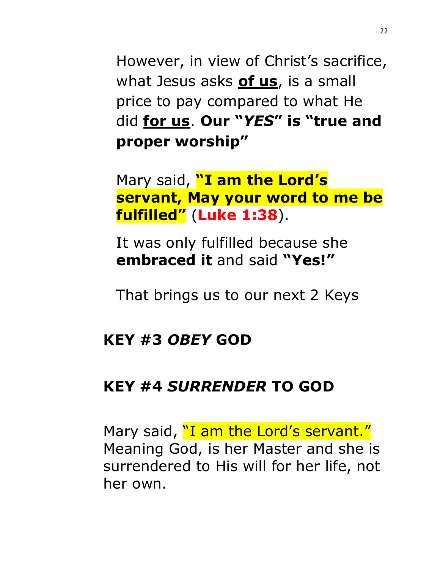However, in view of Christ's sacrifice, what Jesus asks **of us**, is a small price to pay compared to what He did **for us**. **Our "***YES***" is "true and proper worship"** 

Mary said, **"I am the Lord's servant, May your word to me be fulfilled"** (**Luke 1:38**).

It was only fulfilled because she **embraced it** and said **"Yes!"**

That brings us to our next 2 Keys

#### **KEY #3** *OBEY* **GOD**

#### **KEY #4** *SURRENDER* **TO GOD**

Mary said, "I am the Lord's servant." Meaning God, is her Master and she is surrendered to His will for her life, not her own.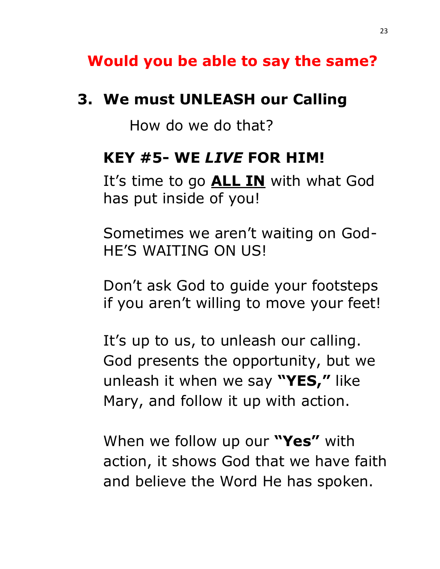### **Would you be able to say the same?**

#### **3. We must UNLEASH our Calling**

How do we do that?

#### **KEY #5- WE** *LIVE* **FOR HIM!**

It's time to go **ALL IN** with what God has put inside of you!

Sometimes we aren't waiting on God-HE'S WAITING ON US!

Don't ask God to guide your footsteps if you aren't willing to move your feet!

It's up to us, to unleash our calling. God presents the opportunity, but we unleash it when we say **"YES, "** like Mary, and follow it up with action.

When we follow up our **"Yes"** with action, it shows God that we have faith and believe the Word He has spoken.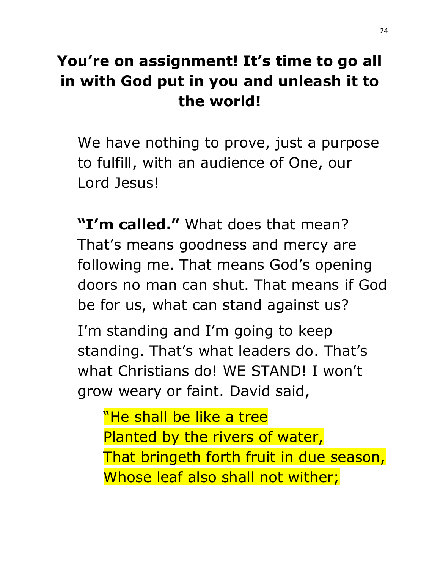# **You're on assignment! It's time to go all in with God put in you and unleash it to the world!**

We have nothing to prove, just a purpose to fulfill, with an audience of One, our Lord Jesus!

**"I'm called."** What does that mean? That's means goodness and mercy are following me. That means God's opening doors no man can shut. That means if God be for us, what can stand against us?

I'm standing and I'm going to keep standing. That's what leaders do. That's what Christians do! WE STAND! I won't grow weary or faint. David said,

"He shall be like a tree Planted by the rivers of water, That bringeth forth fruit in due season, Whose leaf also shall not wither;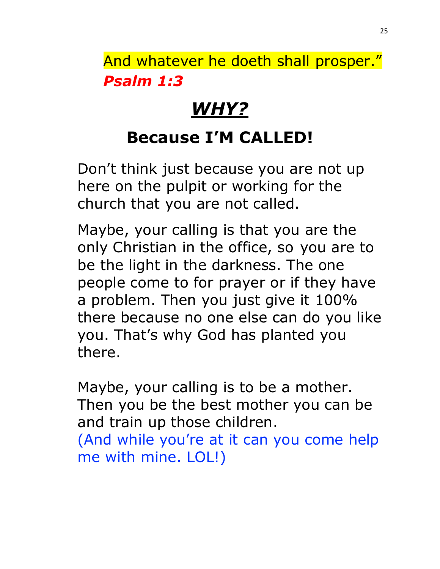And whatever he doeth shall prosper." *Psalm 1:3*

# *WHY?*

# **Because I'M CALLED!**

Don't think just because you are not up here on the pulpit or working for the church that you are not called.

Maybe, your calling is that you are the only Christian in the office, so you are to be the light in the darkness. The one people come to for prayer or if they have a problem. Then you just give it 100% there because no one else can do you like you. That's why God has planted you there.

Maybe, your calling is to be a mother. Then you be the best mother you can be and train up those children. (And while you're at it can you come help me with mine. LOL!)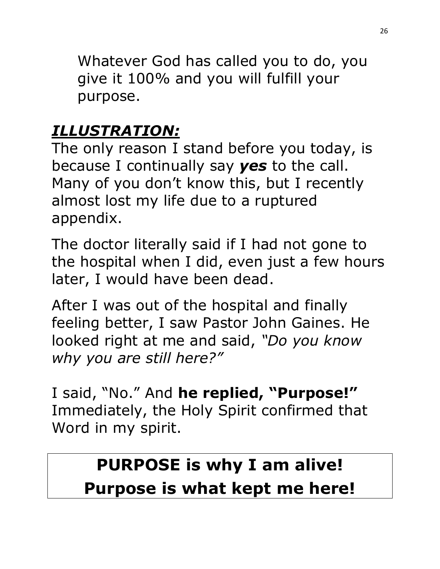Whatever God has called you to do, you give it 100% and you will fulfill your purpose.

## *ILLUSTRATION:*

The only reason I stand before you today, is because I continually say *yes* to the call. Many of you don't know this, but I recently almost lost my life due to a ruptured appendix.

The doctor literally said if I had not gone to the hospital when I did, even just a few hours later, I would have been dead.

After I was out of the hospital and finally feeling better, I saw Pastor John Gaines. He looked right at me and said, *"Do you know why you are still here?"* 

I said, "No." And **he replied, "Purpose!"** Immediately, the Holy Spirit confirmed that Word in my spirit.

# **PURPOSE is why I am alive! Purpose is what kept me here!**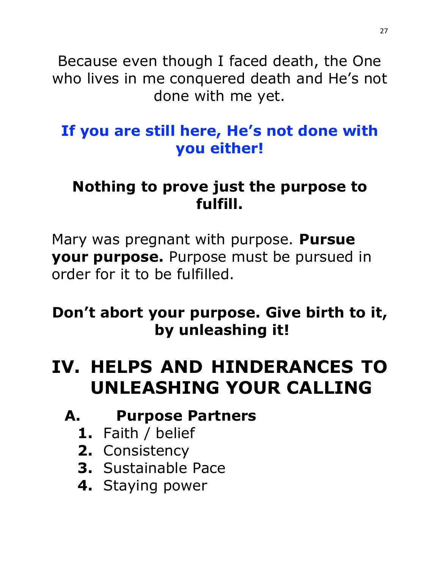Because even though I faced death, the One who lives in me conquered death and He's not done with me yet.

### **If you are still here, He's not done with you either!**

### **Nothing to prove just the purpose to fulfill.**

Mary was pregnant with purpose. **Pursue your purpose.** Purpose must be pursued in order for it to be fulfilled.

### **Don't abort your purpose. Give birth to it, by unleashing it!**

# **IV. HELPS AND HINDERANCES TO UNLEASHING YOUR CALLING**

### **A. Purpose Partners**

- **1.** Faith / belief
- **2.** Consistency
- **3.** Sustainable Pace
- **4.** Staying power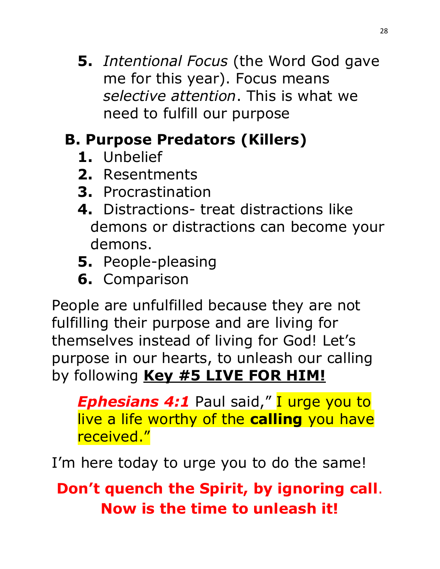**5.** *Intentional Focus* (the Word God gave me for this year). Focus means *selective attention*. This is what we need to fulfill our purpose

# **B. Purpose Predators (Killers)**

- **1.** Unbelief
- **2.** Resentments
- **3.** Procrastination
- **4.** Distractions- treat distractions like demons or distractions can become your demons.
- **5.** People-pleasing
- **6.** Comparison

People are unfulfilled because they are not fulfilling their purpose and are living for themselves instead of living for God! Let's purpose in our hearts, to unleash our calling by following **Key #5 LIVE FOR HIM!**

**Ephesians 4:1** Paul said," I urge you to live a life worthy of the **calling** you have received."

I'm here today to urge you to do the same!

**Don't quench the Spirit, by ignoring call**. **Now is the time to unleash it!**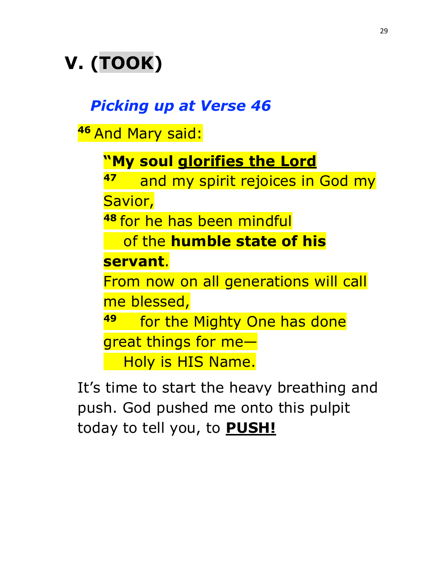# **V. (TOOK)**

### *Picking up at Verse 46*

**<sup>46</sup>** And Mary said:

**"My soul glorifies the Lord**

**47** and my spirit rejoices in God my

Savior,

**<sup>48</sup>** for he has been mindful

of the **humble state of his** 

**servant**.

From now on all generations will call me blessed,

**49** for the Mighty One has done

great things for me—

Holy is HIS Name.

It's time to start the heavy breathing and push. God pushed me onto this pulpit today to tell you, to **PUSH!**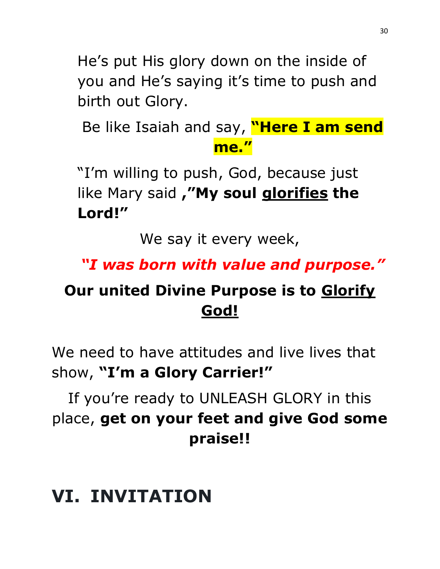He's put His glory down on the inside of you and He's saying it's time to push and birth out Glory.

Be like Isaiah and say, **"Here I am send me."**

"I'm willing to push, God, because just like Mary said **,"My soul glorifies the Lord!"**

We say it every week,

#### *"I was born with value and purpose."*

### **Our united Divine Purpose is to Glorify God!**

We need to have attitudes and live lives that show, **"I'm a Glory Carrier!"** 

If you're ready to UNLEASH GLORY in this place, **get on your feet and give God some praise!!**

# **VI. INVITATION**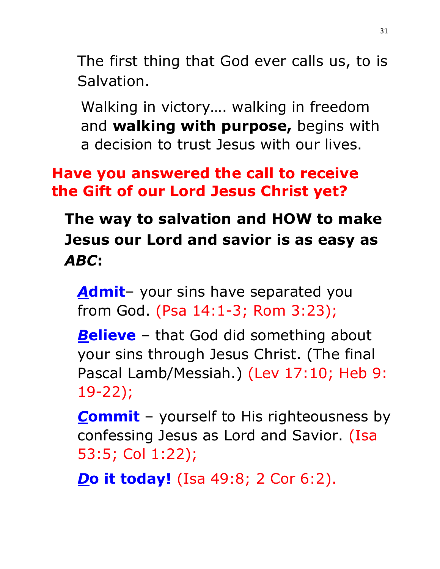The first thing that God ever calls us, to is Salvation.

Walking in victory…. walking in freedom and **walking with purpose,** begins with a decision to trust Jesus with our lives.

### **Have you answered the call to receive the Gift of our Lord Jesus Christ yet?**

**The way to salvation and HOW to make Jesus our Lord and savior is as easy as** *ABC***:**

*A***dmit**– your sins have separated you from God. (Psa 14:1-3; Rom 3:23);

**Believe** – that God did something about your sins through Jesus Christ. (The final Pascal Lamb/Messiah.) (Lev 17:10; Heb 9: 19-22);

*C***ommit** – yourself to His righteousness by confessing Jesus as Lord and Savior. (Isa 53:5; Col 1:22);

*D***o it today!** (Isa 49:8; 2 Cor 6:2).